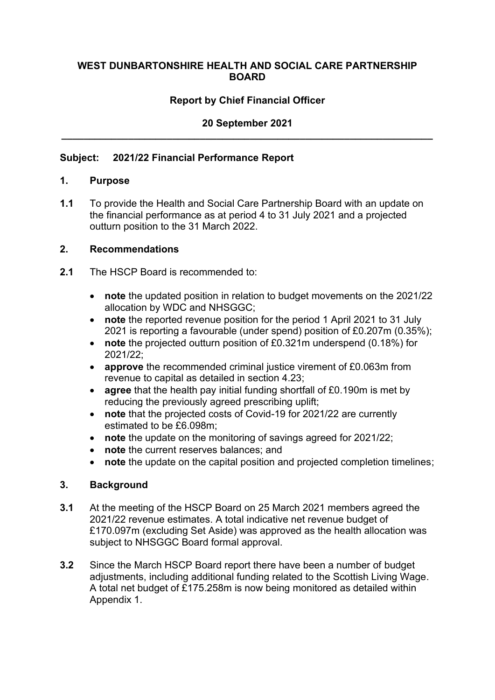### **WEST DUNBARTONSHIRE HEALTH AND SOCIAL CARE PARTNERSHIP BOARD**

## **Report by Chief Financial Officer**

# **20 September 2021 \_\_\_\_\_\_\_\_\_\_\_\_\_\_\_\_\_\_\_\_\_\_\_\_\_\_\_\_\_\_\_\_\_\_\_\_\_\_\_\_\_\_\_\_\_\_\_\_\_\_\_\_\_\_\_\_\_\_\_\_\_\_\_\_\_\_\_**

#### **Subject: 2021/22 Financial Performance Report**

#### **1. Purpose**

**1.1** To provide the Health and Social Care Partnership Board with an update on the financial performance as at period 4 to 31 July 2021 and a projected outturn position to the 31 March 2022.

#### **2. Recommendations**

- **2.1** The HSCP Board is recommended to:
	- **note** the updated position in relation to budget movements on the 2021/22 allocation by WDC and NHSGGC;
	- **note** the reported revenue position for the period 1 April 2021 to 31 July 2021 is reporting a favourable (under spend) position of £0.207m (0.35%);
	- **note** the projected outturn position of £0.321m underspend (0.18%) for 2021/22;
	- **approve** the recommended criminal justice virement of £0.063m from revenue to capital as detailed in section 4.23;
	- **agree** that the health pay initial funding shortfall of £0.190m is met by reducing the previously agreed prescribing uplift;
	- **note** that the projected costs of Covid-19 for 2021/22 are currently estimated to be £6.098m;
	- **note** the update on the monitoring of savings agreed for 2021/22;
	- **note** the current reserves balances; and
	- **note** the update on the capital position and projected completion timelines;

### **3. Background**

- **3.1** At the meeting of the HSCP Board on 25 March 2021 members agreed the 2021/22 revenue estimates. A total indicative net revenue budget of £170.097m (excluding Set Aside) was approved as the health allocation was subject to NHSGGC Board formal approval.
- **3.2** Since the March HSCP Board report there have been a number of budget adjustments, including additional funding related to the Scottish Living Wage. A total net budget of £175.258m is now being monitored as detailed within Appendix 1.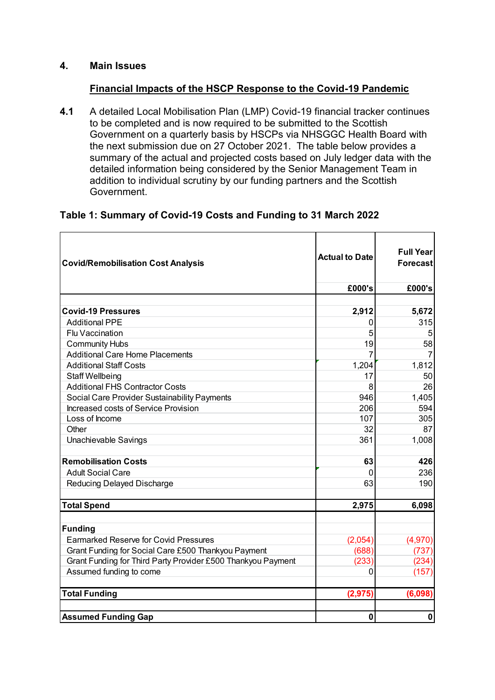### **4. Main Issues**

### **Financial Impacts of the HSCP Response to the Covid-19 Pandemic**

**4.1** A detailed Local Mobilisation Plan (LMP) Covid-19 financial tracker continues to be completed and is now required to be submitted to the Scottish Government on a quarterly basis by HSCPs via NHSGGC Health Board with the next submission due on 27 October 2021. The table below provides a summary of the actual and projected costs based on July ledger data with the detailed information being considered by the Senior Management Team in addition to individual scrutiny by our funding partners and the Scottish Government.

# **Table 1: Summary of Covid-19 Costs and Funding to 31 March 2022**

| <b>Covid/Remobilisation Cost Analysis</b>                    | <b>Actual to Date</b> | <b>Full Year</b><br>Forecast |  |
|--------------------------------------------------------------|-----------------------|------------------------------|--|
|                                                              | £000's                | £000's                       |  |
|                                                              |                       |                              |  |
| <b>Covid-19 Pressures</b>                                    | 2,912                 | 5,672                        |  |
| <b>Additional PPE</b>                                        | 0                     | 315                          |  |
| <b>Flu Vaccination</b>                                       | 5                     | 5                            |  |
| <b>Community Hubs</b>                                        | 19                    | 58                           |  |
| <b>Additional Care Home Placements</b>                       |                       |                              |  |
| <b>Additional Staff Costs</b>                                | 1,204                 | 1,812                        |  |
| <b>Staff Wellbeing</b>                                       | 17                    | 50                           |  |
| <b>Additional FHS Contractor Costs</b>                       | 8                     | 26                           |  |
| Social Care Provider Sustainability Payments                 | 946                   | 1,405                        |  |
| Increased costs of Service Provision                         | 206                   | 594                          |  |
| Loss of Income                                               | 107                   | 305                          |  |
| Other                                                        | 32                    | 87                           |  |
| Unachievable Savings                                         | 361                   | 1,008                        |  |
| <b>Remobilisation Costs</b>                                  | 63                    | 426                          |  |
| <b>Adult Social Care</b>                                     | $\Omega$              | 236                          |  |
| Reducing Delayed Discharge                                   | 63                    | 190                          |  |
|                                                              |                       |                              |  |
| <b>Total Spend</b>                                           | 2,975                 | 6,098                        |  |
| <b>Funding</b>                                               |                       |                              |  |
| <b>Earmarked Reserve for Covid Pressures</b>                 | (2,054)               | (4,970)                      |  |
| Grant Funding for Social Care £500 Thankyou Payment          | (688)                 | (737)                        |  |
| Grant Funding for Third Party Provider £500 Thankyou Payment | (233)                 | (234)                        |  |
| Assumed funding to come                                      | 0                     | (157)                        |  |
|                                                              |                       |                              |  |
| <b>Total Funding</b>                                         | (2, 975)              | (6,098)                      |  |
|                                                              |                       |                              |  |
| <b>Assumed Funding Gap</b>                                   | 0                     | $\pmb{0}$                    |  |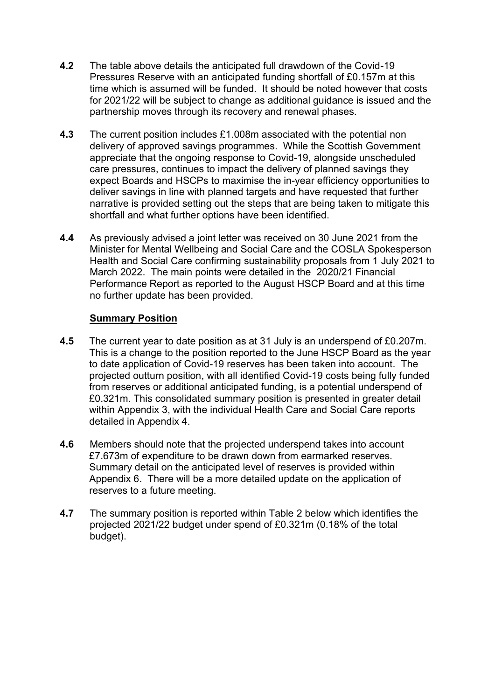- **4.2** The table above details the anticipated full drawdown of the Covid-19 Pressures Reserve with an anticipated funding shortfall of £0.157m at this time which is assumed will be funded. It should be noted however that costs for 2021/22 will be subject to change as additional guidance is issued and the partnership moves through its recovery and renewal phases.
- **4.3** The current position includes £1.008m associated with the potential non delivery of approved savings programmes. While the Scottish Government appreciate that the ongoing response to Covid-19, alongside unscheduled care pressures, continues to impact the delivery of planned savings they expect Boards and HSCPs to maximise the in-year efficiency opportunities to deliver savings in line with planned targets and have requested that further narrative is provided setting out the steps that are being taken to mitigate this shortfall and what further options have been identified.
- **4.4** As previously advised a joint letter was received on 30 June 2021 from the Minister for Mental Wellbeing and Social Care and the COSLA Spokesperson Health and Social Care confirming sustainability proposals from 1 July 2021 to March 2022. The main points were detailed in the 2020/21 Financial Performance Report as reported to the August HSCP Board and at this time no further update has been provided.

### **Summary Position**

- **4.5** The current year to date position as at 31 July is an underspend of £0.207m. This is a change to the position reported to the June HSCP Board as the year to date application of Covid-19 reserves has been taken into account. The projected outturn position, with all identified Covid-19 costs being fully funded from reserves or additional anticipated funding, is a potential underspend of £0.321m. This consolidated summary position is presented in greater detail within Appendix 3, with the individual Health Care and Social Care reports detailed in Appendix 4.
- **4.6** Members should note that the projected underspend takes into account £7.673m of expenditure to be drawn down from earmarked reserves. Summary detail on the anticipated level of reserves is provided within Appendix 6. There will be a more detailed update on the application of reserves to a future meeting.
- **4.7** The summary position is reported within Table 2 below which identifies the projected 2021/22 budget under spend of £0.321m (0.18% of the total budget).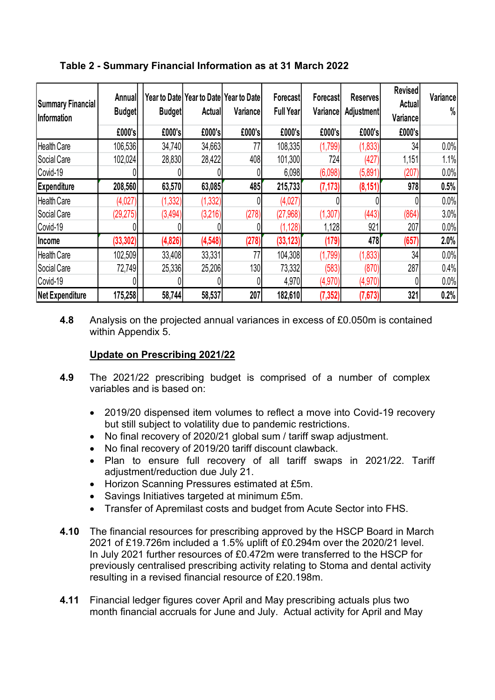| <b>Summary Financial</b><br>Information | Annual<br><b>Budget</b> | <b>Budget</b> | Actual   | Year to Date Year to Date Year to Date<br>Variance | <b>Forecast</b><br><b>Full Year</b> | Forecast<br>Variance | <b>Reserves</b><br><b>Adjustment</b> | <b>Revised</b><br><b>Actual</b><br>Variance | Variance<br>$\%$ |
|-----------------------------------------|-------------------------|---------------|----------|----------------------------------------------------|-------------------------------------|----------------------|--------------------------------------|---------------------------------------------|------------------|
|                                         | £000's                  | £000's        | £000's   | £000's                                             | £000's                              | £000's               | £000's                               | £000's                                      |                  |
| Health Care                             | 106,536                 | 34,740        | 34,663   | 77                                                 | 108,335                             | (1,799)              | (1, 833)                             | 34                                          | 0.0%             |
| Social Care                             | 102,024                 | 28,830        | 28,422   | 408                                                | 101,300                             | 724                  | (427)                                | 1,151                                       | 1.1%             |
| Covid-19                                |                         |               |          |                                                    | 6,098                               | (6,098)              | (5,891)                              | (207)                                       | 0.0%             |
| <b>Expenditure</b>                      | 208,560                 | 63,570        | 63,085   | 485                                                | 215,733                             | (7, 173)             | (8, 151)                             | 978                                         | 0.5%             |
| Health Care                             | (4,027)                 | (1, 332)      | (1, 332) |                                                    | (4,027)                             |                      |                                      |                                             | 0.0%             |
| Social Care                             | (29, 275)               | (3, 494)      | (3,216)  | (278)                                              | (27,968)                            | (1, 307)             | (443)                                | (864)                                       | 3.0%             |
| Covid-19                                |                         |               |          |                                                    | (1, 128)                            | 1,128                | 921                                  | 207                                         | 0.0%             |
| <b>Income</b>                           | (33, 302)               | (4,826)       | (4, 548) | (278)                                              | (33, 123)                           | (179)                | 478                                  | (657                                        | 2.0%             |
| <b>Health Care</b>                      | 102,509                 | 33,408        | 33,331   | 77                                                 | 104,308                             | (1,799)              | (1,833)                              | 34                                          | 0.0%             |
| Social Care                             | 72,749                  | 25,336        | 25,206   | 130                                                | 73,332                              | (583)                | (870)                                | 287                                         | 0.4%             |
| Covid-19                                |                         |               |          |                                                    | 4,970                               | (4,970)              | (4,970)                              |                                             | 0.0%             |
| Net Expenditure                         | 175,258                 | 58,744        | 58,537   | 207                                                | 182,610                             | (7, 352)             | (7, 673)                             | 321                                         | 0.2%             |

**Table 2 - Summary Financial Information as at 31 March 2022** 

**4.8** Analysis on the projected annual variances in excess of £0.050m is contained within Appendix 5.

# **Update on Prescribing 2021/22**

- **4.9** The 2021/22 prescribing budget is comprised of a number of complex variables and is based on:
	- 2019/20 dispensed item volumes to reflect a move into Covid-19 recovery but still subject to volatility due to pandemic restrictions.
	- No final recovery of 2020/21 global sum / tariff swap adjustment.
	- No final recovery of 2019/20 tariff discount clawback.
	- Plan to ensure full recovery of all tariff swaps in 2021/22. Tariff adjustment/reduction due July 21.
	- Horizon Scanning Pressures estimated at £5m.
	- Savings Initiatives targeted at minimum £5m.
	- Transfer of Apremilast costs and budget from Acute Sector into FHS.
- **4.10** The financial resources for prescribing approved by the HSCP Board in March 2021 of £19.726m included a 1.5% uplift of £0.294m over the 2020/21 level. In July 2021 further resources of £0.472m were transferred to the HSCP for previously centralised prescribing activity relating to Stoma and dental activity resulting in a revised financial resource of £20.198m.
- **4.11** Financial ledger figures cover April and May prescribing actuals plus two month financial accruals for June and July. Actual activity for April and May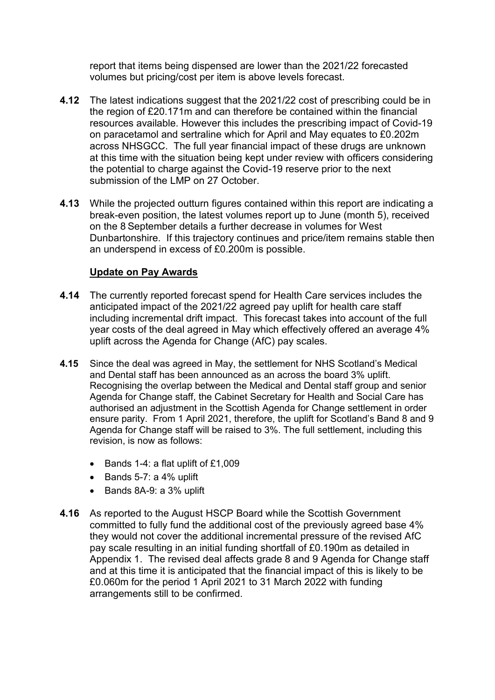report that items being dispensed are lower than the 2021/22 forecasted volumes but pricing/cost per item is above levels forecast.

- **4.12** The latest indications suggest that the 2021/22 cost of prescribing could be in the region of £20.171m and can therefore be contained within the financial resources available. However this includes the prescribing impact of Covid-19 on paracetamol and sertraline which for April and May equates to £0.202m across NHSGCC. The full year financial impact of these drugs are unknown at this time with the situation being kept under review with officers considering the potential to charge against the Covid-19 reserve prior to the next submission of the LMP on 27 October.
- **4.13** While the projected outturn figures contained within this report are indicating a break-even position, the latest volumes report up to June (month 5), received on the 8 September details a further decrease in volumes for West Dunbartonshire. If this trajectory continues and price/item remains stable then an underspend in excess of £0.200m is possible.

### **Update on Pay Awards**

- **4.14** The currently reported forecast spend for Health Care services includes the anticipated impact of the 2021/22 agreed pay uplift for health care staff including incremental drift impact. This forecast takes into account of the full year costs of the deal agreed in May which effectively offered an average 4% uplift across the Agenda for Change (AfC) pay scales.
- **4.15** Since the deal was agreed in May, the settlement for NHS Scotland's Medical and Dental staff has been announced as an across the board 3% uplift. Recognising the overlap between the Medical and Dental staff group and senior Agenda for Change staff, the Cabinet Secretary for Health and Social Care has authorised an adjustment in the Scottish Agenda for Change settlement in order ensure parity. From 1 April 2021, therefore, the uplift for Scotland's Band 8 and 9 Agenda for Change staff will be raised to 3%. The full settlement, including this revision, is now as follows:
	- Bands 1-4: a flat uplift of £1,009
	- Bands 5-7: a 4% uplift
	- Bands 8A-9: a 3% uplift
- **4.16** As reported to the August HSCP Board while the Scottish Government committed to fully fund the additional cost of the previously agreed base 4% they would not cover the additional incremental pressure of the revised AfC pay scale resulting in an initial funding shortfall of £0.190m as detailed in Appendix 1. The revised deal affects grade 8 and 9 Agenda for Change staff and at this time it is anticipated that the financial impact of this is likely to be £0.060m for the period 1 April 2021 to 31 March 2022 with funding arrangements still to be confirmed.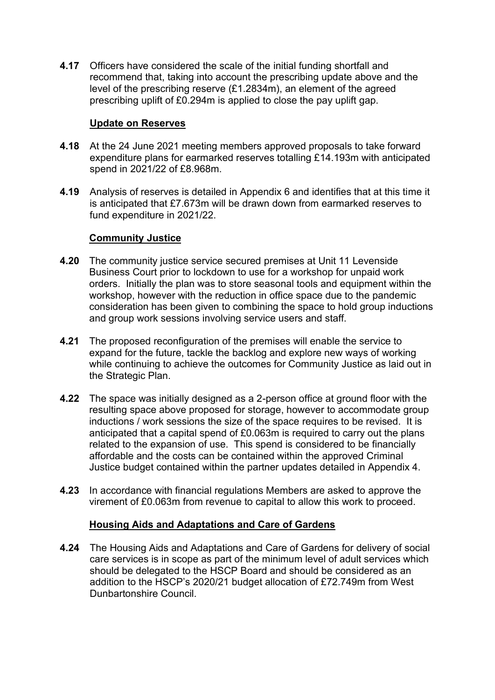**4.17** Officers have considered the scale of the initial funding shortfall and recommend that, taking into account the prescribing update above and the level of the prescribing reserve (£1.2834m), an element of the agreed prescribing uplift of £0.294m is applied to close the pay uplift gap.

# **Update on Reserves**

- **4.18** At the 24 June 2021 meeting members approved proposals to take forward expenditure plans for earmarked reserves totalling £14.193m with anticipated spend in 2021/22 of £8.968m.
- **4.19** Analysis of reserves is detailed in Appendix 6 and identifies that at this time it is anticipated that £7.673m will be drawn down from earmarked reserves to fund expenditure in 2021/22.

# **Community Justice**

- **4.20** The community justice service secured premises at Unit 11 Levenside Business Court prior to lockdown to use for a workshop for unpaid work orders. Initially the plan was to store seasonal tools and equipment within the workshop, however with the reduction in office space due to the pandemic consideration has been given to combining the space to hold group inductions and group work sessions involving service users and staff.
- **4.21** The proposed reconfiguration of the premises will enable the service to expand for the future, tackle the backlog and explore new ways of working while continuing to achieve the outcomes for Community Justice as laid out in the Strategic Plan.
- **4.22** The space was initially designed as a 2-person office at ground floor with the resulting space above proposed for storage, however to accommodate group inductions / work sessions the size of the space requires to be revised. It is anticipated that a capital spend of £0.063m is required to carry out the plans related to the expansion of use. This spend is considered to be financially affordable and the costs can be contained within the approved Criminal Justice budget contained within the partner updates detailed in Appendix 4.
- **4.23** In accordance with financial regulations Members are asked to approve the virement of £0.063m from revenue to capital to allow this work to proceed.

# **Housing Aids and Adaptations and Care of Gardens**

**4.24** The Housing Aids and Adaptations and Care of Gardens for delivery of social care services is in scope as part of the minimum level of adult services which should be delegated to the HSCP Board and should be considered as an addition to the HSCP's 2020/21 budget allocation of £72.749m from West Dunbartonshire Council.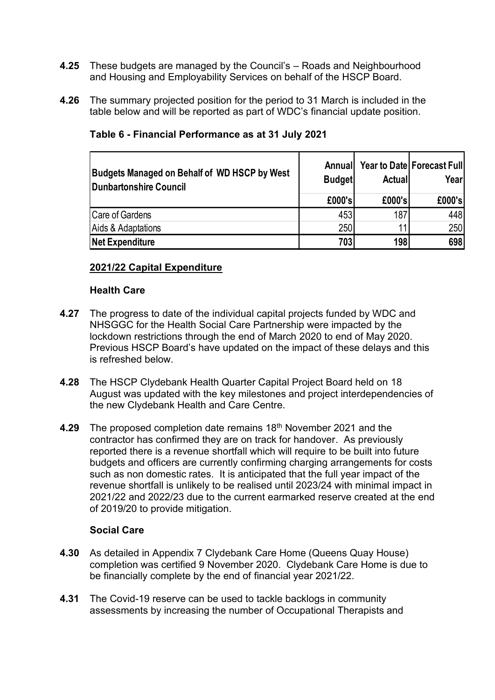- **4.25** These budgets are managed by the Council's Roads and Neighbourhood and Housing and Employability Services on behalf of the HSCP Board.
- **4.26** The summary projected position for the period to 31 March is included in the table below and will be reported as part of WDC's financial update position.

| <b>Budgets Managed on Behalf of WD HSCP by West</b><br>Dunbartonshire Council | Annuall<br><b>Budget</b> | <b>Actual</b> | <b>Year to Date Forecast Full</b><br>Yearl |
|-------------------------------------------------------------------------------|--------------------------|---------------|--------------------------------------------|
|                                                                               | £000's                   | £000's        | £000's                                     |
| Care of Gardens                                                               | 453                      | 187           | 448                                        |
| Aids & Adaptations                                                            | 250                      | 11            | 250                                        |
| <b>Net Expenditure</b>                                                        | 703                      | 198           | 698                                        |

# **Table 6 - Financial Performance as at 31 July 2021**

### **2021/22 Capital Expenditure**

### **Health Care**

- **4.27** The progress to date of the individual capital projects funded by WDC and NHSGGC for the Health Social Care Partnership were impacted by the lockdown restrictions through the end of March 2020 to end of May 2020. Previous HSCP Board's have updated on the impact of these delays and this is refreshed below.
- **4.28** The HSCP Clydebank Health Quarter Capital Project Board held on 18 August was updated with the key milestones and project interdependencies of the new Clydebank Health and Care Centre.
- **4.29** The proposed completion date remains 18<sup>th</sup> November 2021 and the contractor has confirmed they are on track for handover. As previously reported there is a revenue shortfall which will require to be built into future budgets and officers are currently confirming charging arrangements for costs such as non domestic rates. It is anticipated that the full year impact of the revenue shortfall is unlikely to be realised until 2023/24 with minimal impact in 2021/22 and 2022/23 due to the current earmarked reserve created at the end of 2019/20 to provide mitigation.

### **Social Care**

- **4.30** As detailed in Appendix 7 Clydebank Care Home (Queens Quay House) completion was certified 9 November 2020. Clydebank Care Home is due to be financially complete by the end of financial year 2021/22.
- **4.31** The Covid-19 reserve can be used to tackle backlogs in community assessments by increasing the number of Occupational Therapists and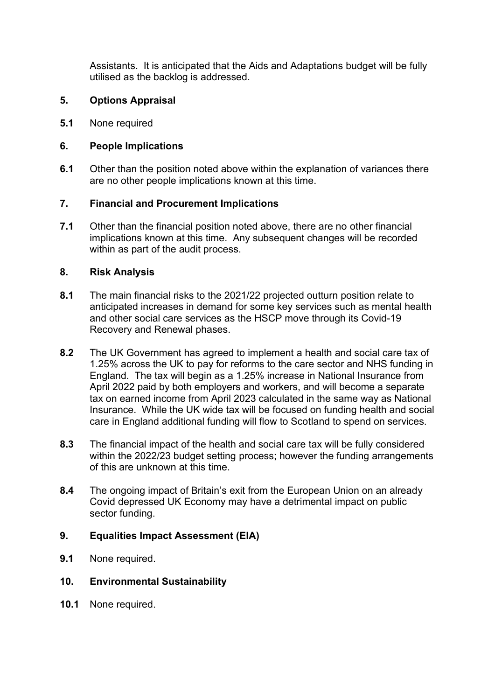Assistants. It is anticipated that the Aids and Adaptations budget will be fully utilised as the backlog is addressed.

## **5. Options Appraisal**

**5.1** None required

### **6. People Implications**

**6.1** Other than the position noted above within the explanation of variances there are no other people implications known at this time.

### **7. Financial and Procurement Implications**

**7.1** Other than the financial position noted above, there are no other financial implications known at this time. Any subsequent changes will be recorded within as part of the audit process.

### **8. Risk Analysis**

- **8.1** The main financial risks to the 2021/22 projected outturn position relate to anticipated increases in demand for some key services such as mental health and other social care services as the HSCP move through its Covid-19 Recovery and Renewal phases.
- **8.2** The UK Government has agreed to implement a health and social care tax of 1.25% across the UK to pay for reforms to the care sector and NHS funding in England. The tax will begin as a 1.25% increase in National Insurance from April 2022 paid by both employers and workers, and will become a separate tax on earned income from April 2023 calculated in the same way as National Insurance. While the UK wide tax will be focused on funding health and social care in England additional funding will flow to Scotland to spend on services.
- **8.3** The financial impact of the health and social care tax will be fully considered within the 2022/23 budget setting process; however the funding arrangements of this are unknown at this time.
- **8.4** The ongoing impact of Britain's exit from the European Union on an already Covid depressed UK Economy may have a detrimental impact on public sector funding.

# **9. Equalities Impact Assessment (EIA)**

- **9.1** None required.
- **10. Environmental Sustainability**
- **10.1** None required.